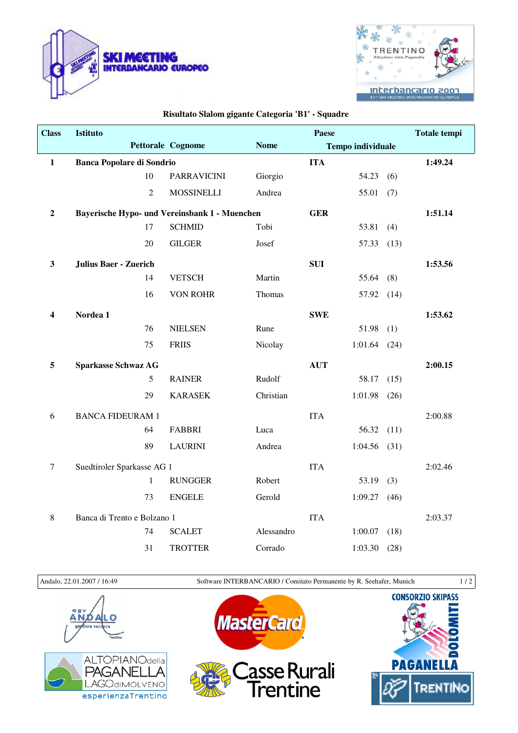



## **Risultato Slalom gigante Categoria 'B1' - Squadre**

| <b>Class</b>            | Istituto                         |                |                                               |             | Paese      |                          |      | <b>Totale tempi</b> |
|-------------------------|----------------------------------|----------------|-----------------------------------------------|-------------|------------|--------------------------|------|---------------------|
|                         |                                  |                | Pettorale Cognome                             | <b>Nome</b> |            | <b>Tempo individuale</b> |      |                     |
| $\mathbf 1$             | <b>Banca Popolare di Sondrio</b> |                |                                               |             | <b>ITA</b> |                          |      | 1:49.24             |
|                         | 10                               |                | <b>PARRAVICINI</b>                            | Giorgio     |            | 54.23                    | (6)  |                     |
|                         |                                  | $\overline{2}$ | <b>MOSSINELLI</b>                             | Andrea      |            | 55.01                    | (7)  |                     |
| $\boldsymbol{2}$        |                                  |                | Bayerische Hypo- und Vereinsbank 1 - Muenchen |             | <b>GER</b> |                          |      | 1:51.14             |
|                         | 17                               |                | <b>SCHMID</b>                                 | Tobi        |            | 53.81                    | (4)  |                     |
|                         | 20                               |                | <b>GILGER</b>                                 | Josef       |            | 57.33                    | (13) |                     |
| $\mathbf{3}$            | <b>Julius Baer - Zuerich</b>     |                |                                               |             | <b>SUI</b> |                          |      | 1:53.56             |
|                         | 14                               |                | <b>VETSCH</b>                                 | Martin      |            | 55.64                    | (8)  |                     |
|                         | 16                               |                | <b>VON ROHR</b>                               | Thomas      |            | 57.92                    | (14) |                     |
| $\overline{\mathbf{4}}$ | Nordea 1                         |                |                                               |             | <b>SWE</b> |                          |      | 1:53.62             |
|                         | 76                               |                | <b>NIELSEN</b>                                | Rune        |            | 51.98                    | (1)  |                     |
|                         | 75                               |                | <b>FRIIS</b>                                  | Nicolay     |            | 1:01.64                  | (24) |                     |
| 5                       | <b>Sparkasse Schwaz AG</b>       |                |                                               |             | <b>AUT</b> |                          |      | 2:00.15             |
|                         |                                  | 5              | <b>RAINER</b>                                 | Rudolf      |            | 58.17                    | (15) |                     |
|                         | 29                               |                | <b>KARASEK</b>                                | Christian   |            | 1:01.98                  | (26) |                     |
| 6                       | <b>BANCA FIDEURAM 1</b>          |                |                                               |             | <b>ITA</b> |                          |      | 2:00.88             |
|                         | 64                               |                | <b>FABBRI</b>                                 | Luca        |            | 56.32                    | (11) |                     |
|                         | 89                               |                | <b>LAURINI</b>                                | Andrea      |            | 1:04.56                  | (31) |                     |
| $\boldsymbol{7}$        | Suedtiroler Sparkasse AG 1       |                |                                               |             | <b>ITA</b> |                          |      | 2:02.46             |
|                         |                                  | $\mathbf{1}$   | <b>RUNGGER</b>                                | Robert      |            | 53.19                    | (3)  |                     |
|                         | 73                               |                | <b>ENGELE</b>                                 | Gerold      |            | 1:09.27                  | (46) |                     |
| $\,8\,$                 | Banca di Trento e Bolzano 1      |                |                                               |             | <b>ITA</b> |                          |      | 2:03.37             |
|                         | 74                               |                | <b>SCALET</b>                                 | Alessandro  |            | 1:00.07                  | (18) |                     |
|                         | 31                               |                | <b>TROTTER</b>                                | Corrado     |            | 1:03.30                  | (28) |                     |

Andalo, 22.01.2007 / 16:49 Software INTERBANCARIO / Comitato Permanente by R. Seehafer, Munich 1 / 2